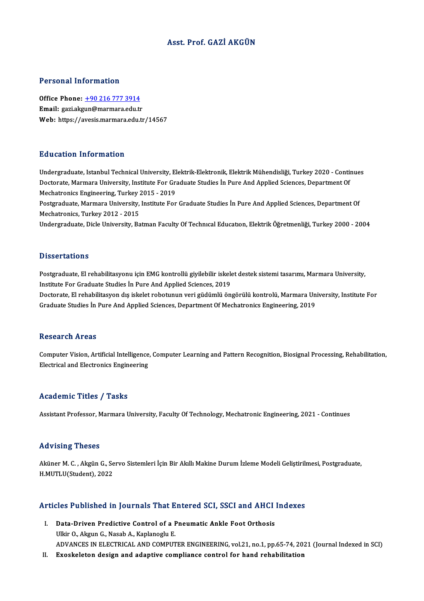# Asst. Prof. GAZİ AKGÜN

#### Personal Information

Office Phone: +90 216 777 3914 Email: gazi.akg[un@marmara.edu.tr](tel:+90 216 777 3914) Web: https://avesis.marmara.edu.tr/14567

### Education Information

Undergraduate, Istanbul Technical University, Elektrik-Elektronik, Elektrik Mühendisliği, Turkey 2020 - Continues Du d'oderon Timor inderon<br>Undergraduate, Istanbul Technical University, Elektrik-Elektronik, Elektrik Mühendisliği, Turkey 2020 - Conti<br>Doctorate, Marmara University, Institute For Graduate Studies İn Pure And Applied Scie Undergraduate, Istanbul Technical University, El<br>Doctorate, Marmara University, Institute For Gra<br>Mechatronics Engineering, Turkey 2015 - 2019<br>Postaraduate Marmara University, Institute For Doctorate, Marmara University, Institute For Graduate Studies İn Pure And Applied Sciences, Department Of<br>Mechatronics Engineering, Turkey 2015 - 2019<br>Postgraduate, Marmara University, Institute For Graduate Studies İn Pur Mechatronics Engineering, Turkey 2015 - 2019<br>Postgraduate, Marmara University, Institute For Graduate Studies İn Pure And Applied Sciences, Department Of<br>Mechatronics, Turkey 2012 - 2015 Undergraduate, Dicle University, Batman Faculty Of Technıcal Education, Elektrik Öğretmenliği, Turkey 2000 - 2004

### **Dissertations**

Postgraduate, El rehabilitasyonu için EMG kontrollü giyilebilir iskelet destek sistemi tasarımı, Marmara University, Institute For Graduate Studies In Pure And Applied Sciences, 2019 Postgraduate, El rehabilitasyonu için EMG kontrollü giyilebilir iskelet destek sistemi tasarımı, Marmara University,<br>Institute For Graduate Studies İn Pure And Applied Sciences, 2019<br>Doctorate, El rehabilitasyon dış iskele Institute For Graduate Studies İn Pure And Applied Sciences, 2019<br>Doctorate, El rehabilitasyon dış iskelet robotunun veri güdümlü öngörülü kontrolü, Marmara Un<br>Graduate Studies İn Pure And Applied Sciences, Department Of M Graduate Studies İn Pure And Applied Sciences, Department Of Mechatronics Engineering, 2019<br>Research Areas

Research Areas<br>Computer Vision, Artificial Intelligence, Computer Learning and Pattern Recognition, Biosignal Processing, Rehabilitation,<br>Flectrical and Electronics Engineering resear en 11 eas<br>Computer Vision, Artificial Intelligence<br>Electrical and Electronics Engineering Electrical and Electronics Engineering<br>Academic Titles / Tasks

Assistant Professor, Marmara University, Faculty Of Technology, Mechatronic Engineering, 2021 - Continues

#### Advising Theses

Advising Theses<br>Aküner M. C. , Akgün G., Servo Sistemleri İçin Bir Akıllı Makine Durum İzleme Modeli Geliştirilmesi, Postgraduate,<br>H.MUTU U(Student), 2022 112711112<br>Aküner M. C. , Akgün G., Se<br>H.MUTLU(Student), 2022

# Articles Published in Journals That Entered SCI, SSCI and AHCI Indexes

- rticles Published in Journals That Entered SCI, SSCI and AHCI<br>I. Data-Driven Predictive Control of a Pneumatic Ankle Foot Orthosis<br>Illin O. Akrun C. Nasab A. Kaplanesly E I. Data-Driven Predictive Control of a Pneumatic Ankle Foot Orthosis<br>Ulkir O., Akgun G., Nasab A., Kaplanoglu E. ADVANCES IN ELECTRICAL AND COMPUTER ENGINEERING, vol.21, no.1, pp.65-74, 2021 (Journal Indexed in SCI)
- II. Exoskeleton design and adaptive compliance control for hand rehabilitation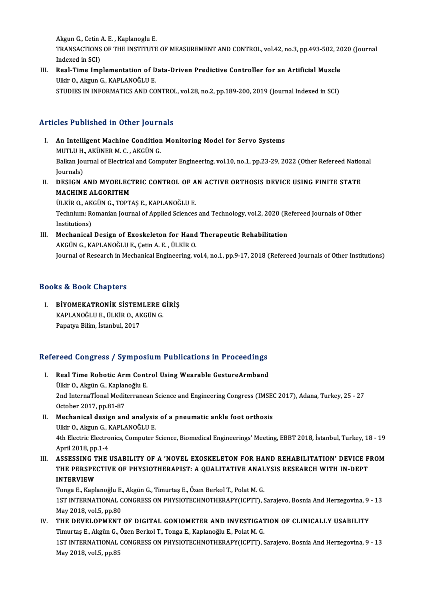AkgunG.,CetinA.E. ,KaplanogluE. Akgun G., Cetin A. E. , Kaplanoglu E.<br>TRANSACTIONS OF THE INSTITUTE OF MEASUREMENT AND CONTROL, vol.42, no.3, pp.493-502, 2020 (Journal Akgun G., Cetin<br>TRANSACTIONS<br>Indexed in SCI)<br>Real Time Imn TRANSACTIONS OF THE INSTITUTE OF MEASUREMENT AND CONTROL, vol.42, no.3, pp.493-502, 20<br>Indexed in SCI)<br>III. Real-Time Implementation of Data-Driven Predictive Controller for an Artificial Muscle<br>III.in O. Almun C. KABLANOĞ

Indexed in SCI)<br><mark>Real-Time Implementation of D</mark><br>Ulkir O., Akgun G., KAPLANOĞLU E.<br>STUDIES IN INFORMATICS AND CO Ulkir O., Akgun G., KAPLANOĞLU E.<br>STUDIES IN INFORMATICS AND CONTROL, vol.28, no.2, pp.189-200, 2019 (Journal Indexed in SCI)

# Articles Published in Other Journals

- Tricles Published in Other Journals<br>I. An Intelligent Machine Condition Monitoring Model for Servo Systems<br>MUTHILLY ARUNER M.C. ARCUNG MUTLU H., AKÜNER M. C., AKGÜN G.<br>An Intelligent Machine Condition<br>MUTLU H., AKÜNER M. C. , AKGÜN G. An Intelligent Machine Condition Monitoring Model for Servo Systems<br>MUTLU H., AKÜNER M. C. , AKGÜN G.<br>Balkan Journal of Electrical and Computer Engineering, vol.10, no.1, pp.23-29, 2022 (Other Refereed National<br>Journale) MUTLU H.<br>Balkan Jou<br>Journals)<br>DESICN Balkan Journal of Electrical and Computer Engineering, vol.10, no.1, pp.23-29, 2022 (Other Refereed Nation<br>Journals)<br>II. DESIGN AND MYOELECTRIC CONTROL OF AN ACTIVE ORTHOSIS DEVICE USING FINITE STATE<br>MACHINE ALCORITUM
- Journals)<br>II. DESIGN AND MYOELECTRIC CONTROL OF AN ACTIVE ORTHOSIS DEVICE USING FINITE STATE<br>MACHINE ALGORITHM

ÜLKİRO.,AKGÜNG.,TOPTAŞE.,KAPLANOĞLUE. MACHINE ALGORITHM<br>ÜLKİR O., AKGÜN G., TOPTAŞ E., KAPLANOĞLU E.<br>Technium: Romanian Journal of Applied Sciences and Technology, vol.2, 2020 (Refereed Journals of Other<br>Institutions) ÜLKİR O., AK<br>Technium: Ro<br>Institutions)<br>Machanical Technium: Romanian Journal of Applied Sciences and Technology, vol.2, 2020 (Representations)<br>III. Mechanical Design of Exoskeleton for Hand Therapeutic Rehabilitation<br>AKCÜN G KAPLANOČLU E Cetin A F JU KIP O

Institutions)<br>III. Mechanical Design of Exoskeleton for Hand Therapeutic Rehabilitation<br>AKGÜN G., KAPLANOĞLU E., Çetin A. E. , ÜLKİR O. Journal of Research in Mechanical Engineering, vol.4, no.1, pp.9-17, 2018 (Refereed Journals of Other Institutions)

# Books&Book Chapters

OOks & Book Chapters<br>I. BİYOMEKATRONİK SİSTEMLERE GİRİŞ<br>KARLANOĞLUE ÜLKİR O AKÇİN C KAPLANOĞLU E., ÜLKİR O., AKGÜNG.<br>BİYOMEKATRONİK SİSTEMLERE (<br>RAPLANOĞLU E., ÜLKİR O., AKGÜNG. KAPLANOĞLU E., ÜLKİR O., AKGÜN G.<br>Papatya Bilim, İstanbul, 2017

# rapatya Bilim, istanbul, 2017<br>Refereed Congress / Symposium Publications in Proceedings

- efereed Congress / Symposium Publications in Proceedings<br>I. Real Time Robotic Arm Control Using Wearable GestureArmband<br>Tillir O. Akgün C. Kaplaneğlu E Tood Gongrood 7 by mpoor.<br>Real Time Robotic Arm Cont<br>Ülkir O., Akgün G., Kaplanoğlu E. 2012 Real Time Robotic Arm Control Using Wearable GestureArmband<br>
2nd InternaTional Mediterranean Science and Engineering Congress (IMSEC 2017), Adana, Turkey, 25 - 27<br>
20tober 2017, pp.81-87 Ülkir O., Akgün G., Kaplar<br>2nd InternaTional Medit<br>October 2017, pp.81-87<br>Mechanical design and 2nd InternaTional Mediterranean Science and Engineering Congress (IMSE)<br>October 2017, pp.81-87<br>II. Mechanical design and analysis of a pneumatic ankle foot orthosis<br>III.ir O. Akayn G. KABI ANOČLU E
- October 2017, pp.81-87<br>Mechanical design and analysis<br>Ulkir O., Akgun G., KAPLANOĞLU E.<br>4th Electric Electronics Computer ( Mechanical design and analysis of a pneumatic ankle foot orthosis<br>Ulkir O., Akgun G., KAPLANOĞLU E.<br>4th Electric Electronics, Computer Science, Biomedical Engineerings' Meeting, EBBT 2018, İstanbul, Turkey, 18 - 19<br>April 2 Ulkir O., Akgun G., KAPLANOĞLU E.<br>4th Electric Electronics, Computer Science, Biomedical Engineerings' Meeting, EBBT 2018, İstanbul, Turkey, 18<br>4th Electric Electronics, Computer Science, Biomedical Engineerings' Meeting, 4th Electric Electronics, Computer Science, Biomedical Engineerings' Meeting, EBBT 2018, İstanbul, Turkey, 18 - 19<br>April 2018, pp.1-4<br>III. ASSESSING THE USABILITY OF A 'NOVEL EXOSKELETON FOR HAND REHABILITATION' DEVICE FRO
- April 2018, pp.1-4<br>ASSESSING THE USABILITY OF A 'NOVEL EXOSKELETON FOR HAND REHABILITATION' DEVICE F<br>THE PERSPECTIVE OF PHYSIOTHERAPIST: A QUALITATIVE ANALYSIS RESEARCH WITH IN-DEPT<br>INTERVIEW ASSESSING T<br>THE PERSPE<br>INTERVIEW<br>Tonge E-Kapl INTERVIEW<br>Tonga E., Kaplanoğlu E., Akgün G., Timurtaş E., Özen Berkol T., Polat M. G.

1ST INTERNATIONAL CONGRESS ON PHYSIOTECHNOTHERAPY(ICPTT), Sarajevo, Bosnia And Herzegovina, 9 - 13 May2018,vol.5,pp.80 1ST INTERNATIONAL CONGRESS ON PHYSIOTECHNOTHERAPY(ICPTT), Sarajevo, Bosnia And Herzegovina, 9<br>May 2018, vol.5, pp.80<br>IV. THE DEVELOPMENT OF DIGITAL GONIOMETER AND INVESTIGATION OF CLINICALLY USABILITY<br>Timurtos E. Algün G.

May 2018, vol.5, pp.80<br>THE DEVELOPMENT OF DIGITAL GONIOMETER AND INVESTIGAT<br>Timurtaş E., Akgün G., Özen Berkol T., Tonga E., Kaplanoğlu E., Polat M. G.<br>1ST INTERNATIONAL CONCRESS ON PHYSIOTECHNOTHERARY(ICRTE) 1ST INTERNATIONAL CONGRESS ON PHYSIOTECHNOTHERAPY(ICPTT), Sarajevo, Bosnia And Herzegovina, 9 - 13<br>May 2018, vol.5, pp.85 Timurtaş E., Akgün G., Özen Berkol T., Tonga E., Kaplanoğlu E., Polat M. G.